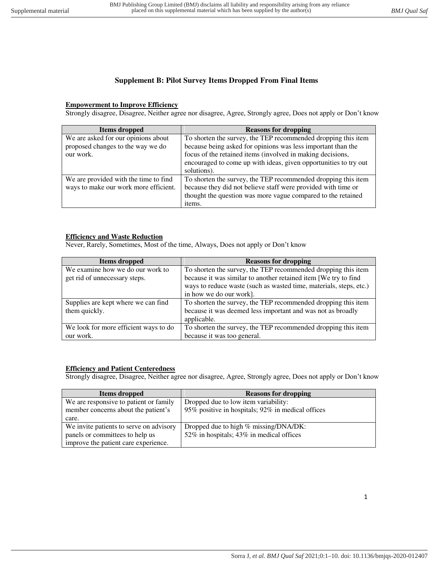# **Supplement B: Pilot Survey Items Dropped From Final Items**

### **Empowerment to Improve Efficiency**

Strongly disagree, Disagree, Neither agree nor disagree, Agree, Strongly agree, Does not apply or Don't know

| Items dropped                         | <b>Reasons for dropping</b>                                      |
|---------------------------------------|------------------------------------------------------------------|
| We are asked for our opinions about   | To shorten the survey, the TEP recommended dropping this item    |
| proposed changes to the way we do     | because being asked for opinions was less important than the     |
| our work.                             | focus of the retained items (involved in making decisions,       |
|                                       | encouraged to come up with ideas, given opportunities to try out |
|                                       | solutions).                                                      |
| We are provided with the time to find | To shorten the survey, the TEP recommended dropping this item    |
| ways to make our work more efficient. | because they did not believe staff were provided with time or    |
|                                       | thought the question was more vague compared to the retained     |
|                                       | items.                                                           |

### **Efficiency and Waste Reduction**

Never, Rarely, Sometimes, Most of the time, Always, Does not apply or Don't know

| Items dropped                         | <b>Reasons for dropping</b>                                        |
|---------------------------------------|--------------------------------------------------------------------|
| We examine how we do our work to      | To shorten the survey, the TEP recommended dropping this item      |
| get rid of unnecessary steps.         | because it was similar to another retained item [We try to find    |
|                                       | ways to reduce waste (such as wasted time, materials, steps, etc.) |
|                                       | in how we do our work].                                            |
| Supplies are kept where we can find   | To shorten the survey, the TEP recommended dropping this item      |
| them quickly.                         | because it was deemed less important and was not as broadly        |
|                                       | applicable.                                                        |
| We look for more efficient ways to do | To shorten the survey, the TEP recommended dropping this item      |
| our work.                             | because it was too general.                                        |

### **Efficiency and Patient Centeredness**

Strongly disagree, Disagree, Neither agree nor disagree, Agree, Strongly agree, Does not apply or Don't know

| Items dropped                           | <b>Reasons for dropping</b>                       |
|-----------------------------------------|---------------------------------------------------|
| We are responsive to patient or family  | Dropped due to low item variability:              |
| member concerns about the patient's     | 95% positive in hospitals; 92% in medical offices |
| care.                                   |                                                   |
| We invite patients to serve on advisory | Dropped due to high % missing/DNA/DK:             |
| panels or committees to help us         | 52% in hospitals; 43% in medical offices          |
| improve the patient care experience.    |                                                   |